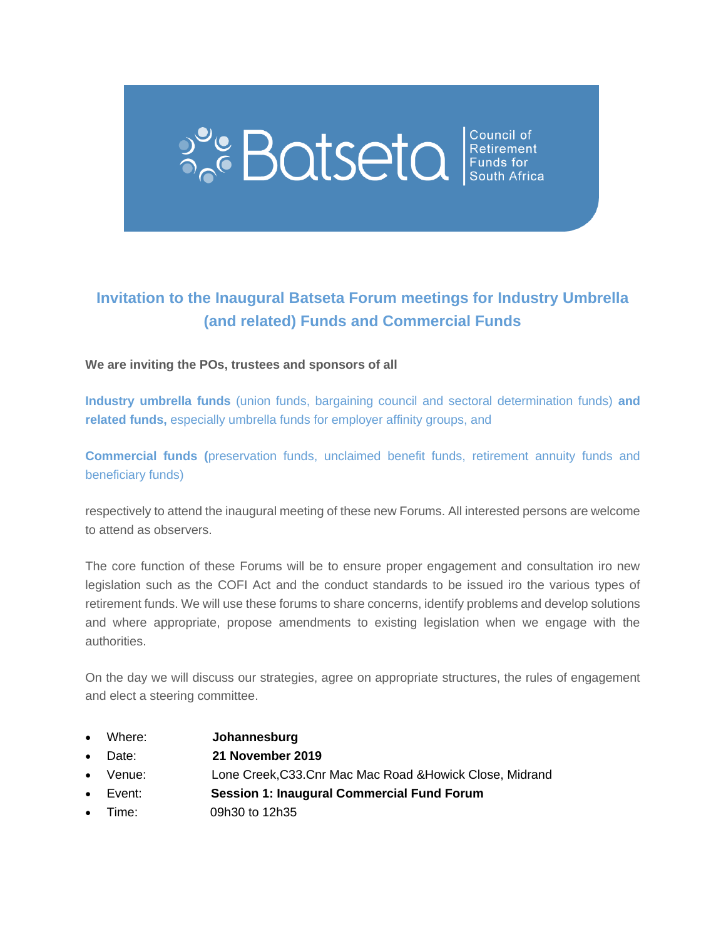# $P_{\text{o}}^{\text{o}}$  Batseta  $\left|\underset{\text{South After}}{\text{Cubic}}\right|$

### **Invitation to the Inaugural Batseta Forum meetings for Industry Umbrella (and related) Funds and Commercial Funds**

#### **We are inviting the POs, trustees and sponsors of all**

**Industry umbrella funds** (union funds, bargaining council and sectoral determination funds) **and related funds,** especially umbrella funds for employer affinity groups, and

**Commercial funds (**preservation funds, unclaimed benefit funds, retirement annuity funds and beneficiary funds)

respectively to attend the inaugural meeting of these new Forums. All interested persons are welcome to attend as observers.

The core function of these Forums will be to ensure proper engagement and consultation iro new legislation such as the COFI Act and the conduct standards to be issued iro the various types of retirement funds. We will use these forums to share concerns, identify problems and develop solutions and where appropriate, propose amendments to existing legislation when we engage with the authorities.

On the day we will discuss our strategies, agree on appropriate structures, the rules of engagement and elect a steering committee.

- Where: **Johannesburg**
- Date: **21 November 2019**
- Venue: Lone Creek,C33.Cnr Mac Mac Road &Howick Close, Midrand
- Event: **Session 1: Inaugural Commercial Fund Forum**
- Time: 09h30 to 12h35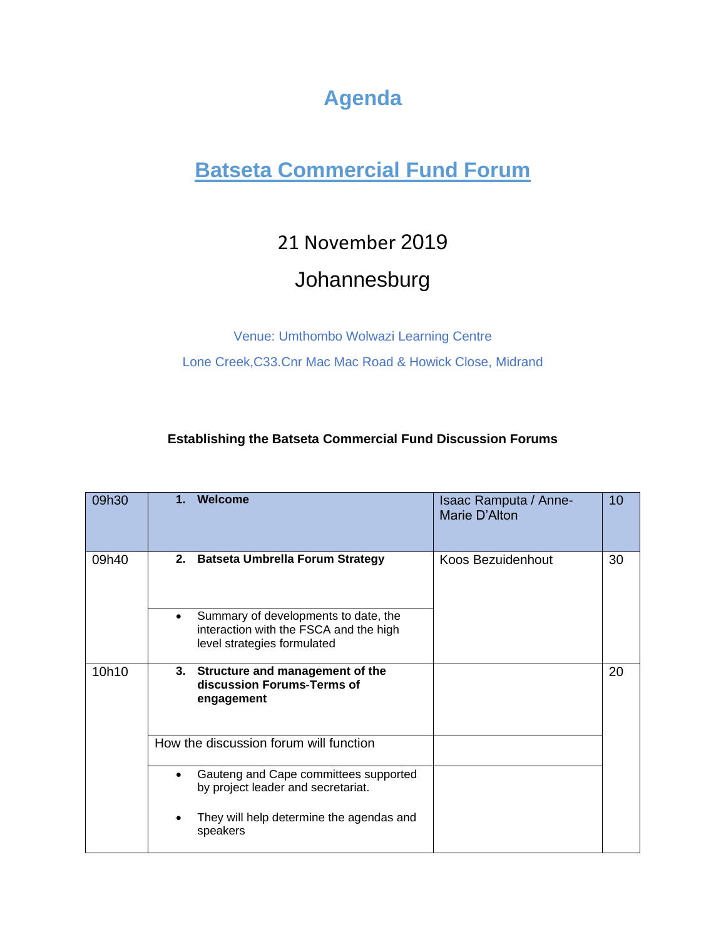## **Agenda**

## **Batseta Commercial Fund Forum**

## 21 November 2019

## Johannesburg

Venue: Umthombo Wolwazi Learning Centre

Lone Creek,C33.Cnr Mac Mac Road & Howick Close, Midrand

#### **Establishing the Batseta Commercial Fund Discussion Forums**

| 09h30 | Welcome<br>1. |                                                                                                               | Isaac Ramputa / Anne-<br>Marie D'Alton | 10 |
|-------|---------------|---------------------------------------------------------------------------------------------------------------|----------------------------------------|----|
| 09h40 |               | 2. Batseta Umbrella Forum Strategy                                                                            | Koos Bezuidenhout                      | 30 |
|       | $\bullet$     | Summary of developments to date, the<br>interaction with the FSCA and the high<br>level strategies formulated |                                        |    |
| 10h10 | engagement    | 3. Structure and management of the<br>discussion Forums-Terms of                                              |                                        | 20 |
|       |               | How the discussion forum will function                                                                        |                                        |    |
|       | $\bullet$     | Gauteng and Cape committees supported<br>by project leader and secretariat.                                   |                                        |    |
|       | speakers      | They will help determine the agendas and                                                                      |                                        |    |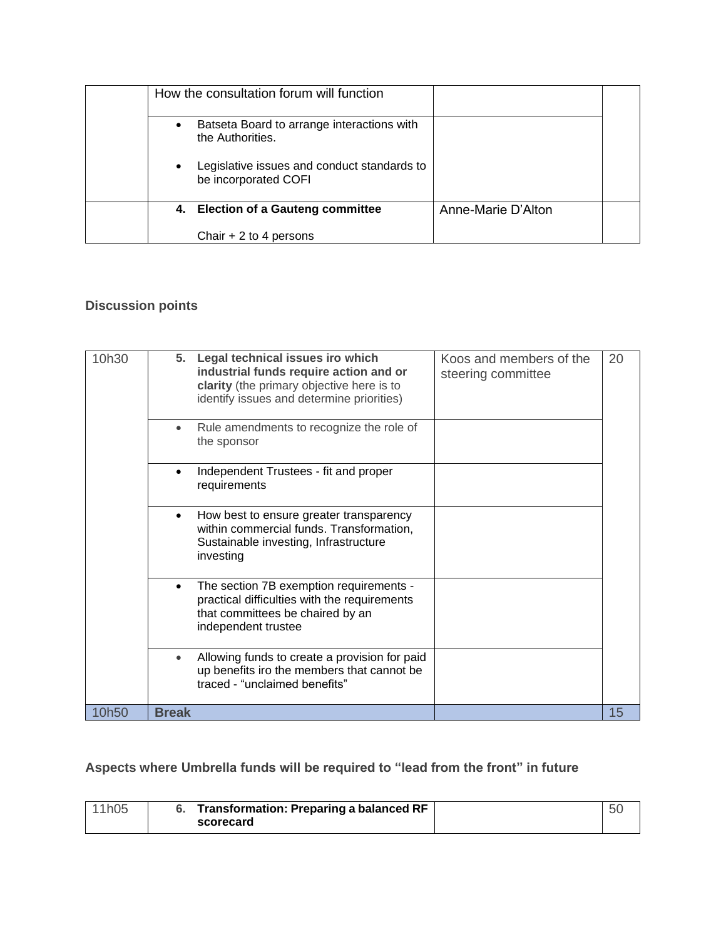| How the consultation forum will function |                                                                     |                    |  |
|------------------------------------------|---------------------------------------------------------------------|--------------------|--|
| $\bullet$                                | Batseta Board to arrange interactions with<br>the Authorities.      |                    |  |
| $\bullet$                                | Legislative issues and conduct standards to<br>be incorporated COFI |                    |  |
|                                          | 4. Election of a Gauteng committee                                  | Anne-Marie D'Alton |  |
|                                          | Chair $+2$ to 4 persons                                             |                    |  |

#### **Discussion points**

| 10h30 | Legal technical issues iro which<br>Koos and members of the<br>5.<br>industrial funds require action and or<br>steering committee<br>clarity (the primary objective here is to<br>identify issues and determine priorities) | 20 |
|-------|-----------------------------------------------------------------------------------------------------------------------------------------------------------------------------------------------------------------------------|----|
|       | Rule amendments to recognize the role of<br>$\bullet$<br>the sponsor                                                                                                                                                        |    |
|       | Independent Trustees - fit and proper<br>requirements                                                                                                                                                                       |    |
|       | How best to ensure greater transparency<br>$\bullet$<br>within commercial funds. Transformation,<br>Sustainable investing, Infrastructure<br>investing                                                                      |    |
|       | The section 7B exemption requirements -<br>$\bullet$<br>practical difficulties with the requirements<br>that committees be chaired by an<br>independent trustee                                                             |    |
|       | Allowing funds to create a provision for paid<br>$\bullet$<br>up benefits iro the members that cannot be<br>traced - "unclaimed benefits"                                                                                   |    |
| 10h50 | <b>Break</b>                                                                                                                                                                                                                | 15 |

#### **Aspects where Umbrella funds will be required to "lead from the front" in future**

| 11h∩5 ∴ | Transformation: Preparing a balanced RF |  |
|---------|-----------------------------------------|--|
|         | scorecard                               |  |